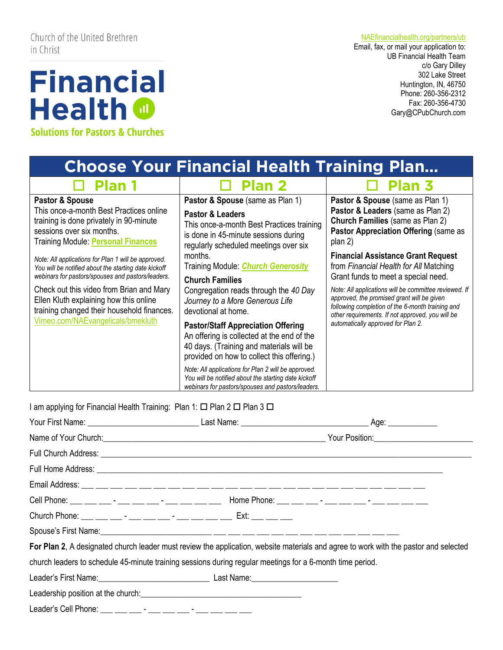Church of the United Brethren in Christ

## **Financial Health @ Solutions for Pastors & Churches**

[NAEfinancialhealth.org/partners/ub](http://www.naefinancialhealth.org/partners/ub)

Email, fax, or mail your application to: UB Financial Health Team c/o Gary Dilley 302 Lake Street Huntington, IN, 46750 Phone: 260-356-2312 Fax: 260-356-4730 Gary@CPubChurch.com

*Email* 

| <b>Choose Your Financial Health Training Plan</b>                                                                                                                               |                                                                                                                                                                                               |                                                                                                                                                                                                             |  |
|---------------------------------------------------------------------------------------------------------------------------------------------------------------------------------|-----------------------------------------------------------------------------------------------------------------------------------------------------------------------------------------------|-------------------------------------------------------------------------------------------------------------------------------------------------------------------------------------------------------------|--|
| $\Box$ Plan 1                                                                                                                                                                   | <b>Plan 2</b>                                                                                                                                                                                 | Plan 3                                                                                                                                                                                                      |  |
| Pastor & Spouse<br>This once-a-month Best Practices online<br>training is done privately in 90-minute<br>sessions over six months.<br><b>Training Module: Personal Finances</b> | Pastor & Spouse (same as Plan 1)<br><b>Pastor &amp; Leaders</b><br>This once-a-month Best Practices training<br>is done in 45-minute sessions during<br>regularly scheduled meetings over six | Pastor & Spouse (same as Plan 1)<br>Pastor & Leaders (same as Plan 2)<br><b>Church Families (same as Plan 2)</b><br>Pastor Appreciation Offering (same as<br>plan 2)                                        |  |
| Note: All applications for Plan 1 will be approved.<br>You will be notified about the starting date kickoff<br>webinars for pastors/spouses and pastors/leaders.                | months.<br>Training Module: <i>Church Generosity</i><br><b>Church Families</b>                                                                                                                | <b>Financial Assistance Grant Request</b><br>from Financial Health for All Matching<br>Grant funds to meet a special need.                                                                                  |  |
| Check out this video from Brian and Mary<br>Ellen Kluth explaining how this online<br>training changed their household finances.                                                | Congregation reads through the 40 Day<br>Journey to a More Generous Life<br>devotional at home.                                                                                               | Note: All applications will be committee reviewed. If<br>approved, the promised grant will be given<br>following completion of the 6-month training and<br>other requirements. If not approved, you will be |  |
| Vimeo.com/NAEvangelicals/bmekluth                                                                                                                                               | <b>Pastor/Staff Appreciation Offering</b><br>An offering is collected at the end of the<br>40 days. (Training and materials will be<br>provided on how to collect this offering.)             | automatically approved for Plan 2.                                                                                                                                                                          |  |
|                                                                                                                                                                                 | Note: All applications for Plan 2 will be approved.<br>You will be notified about the starting date kickoff<br>webinars for pastors/spouses and pastors/leaders.                              |                                                                                                                                                                                                             |  |

I am applying for Financial Health Training: Plan 1:  $\Box$  Plan 2  $\Box$  Plan 3  $\Box$ 

|                                                                                                           | Cell Phone: __ __ __ -__ - __ __ -_ -_ __ __ __ Home Phone: __ __ __ -__ -__ __ -_ __ __ __ __ __                                    |
|-----------------------------------------------------------------------------------------------------------|--------------------------------------------------------------------------------------------------------------------------------------|
|                                                                                                           |                                                                                                                                      |
|                                                                                                           |                                                                                                                                      |
|                                                                                                           | For Plan 2, A designated church leader must review the application, website materials and agree to work with the pastor and selected |
| church leaders to schedule 45-minute training sessions during regular meetings for a 6-month time period. |                                                                                                                                      |
|                                                                                                           |                                                                                                                                      |
|                                                                                                           |                                                                                                                                      |
|                                                                                                           |                                                                                                                                      |